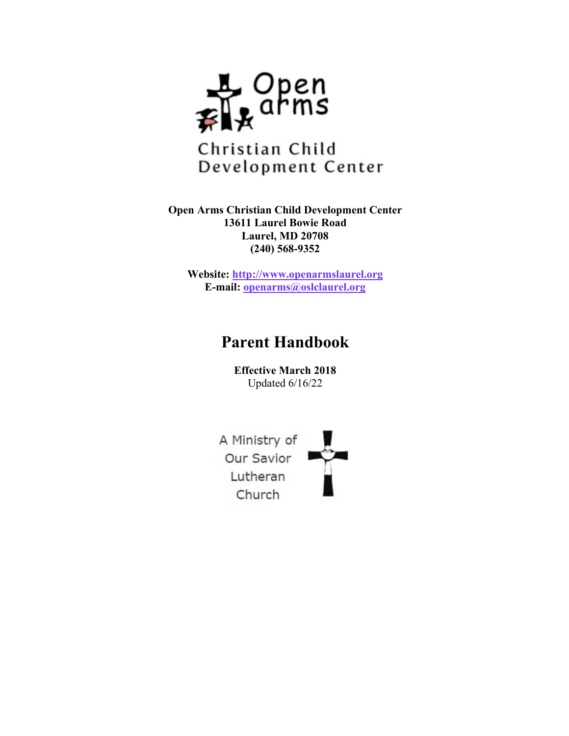

**Open Arms Christian Child Development Center 13611 Laurel Bowie Road Laurel, MD 20708 (240) 568-9352**

**Website: http://www.openarmslaurel.org E-mail: openarms@oslclaurel.org**

# **Parent Handbook**

**Effective March 2018** Updated 6/16/22

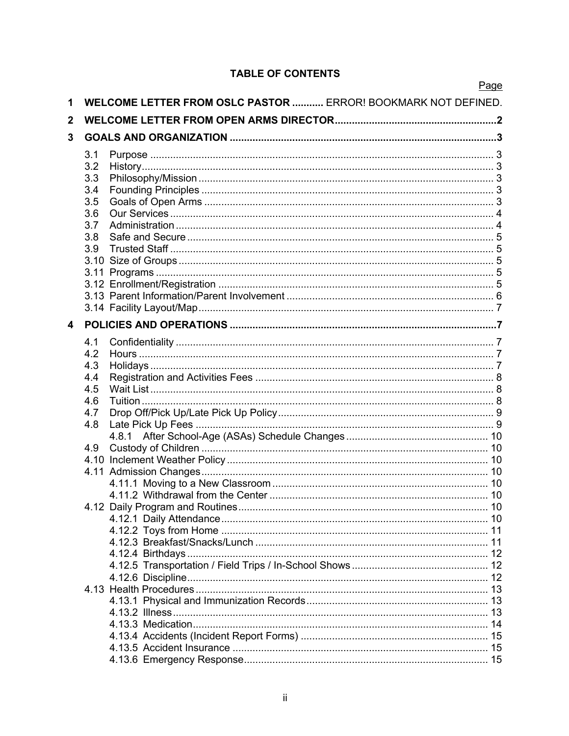### **TABLE OF CONTENTS**

|              |     |                                                                      | Page |
|--------------|-----|----------------------------------------------------------------------|------|
| 1            |     | <b>WELCOME LETTER FROM OSLC PASTOR  ERROR! BOOKMARK NOT DEFINED.</b> |      |
| $\mathbf{2}$ |     |                                                                      |      |
| 3            |     |                                                                      |      |
|              | 3.1 |                                                                      |      |
|              | 3.2 |                                                                      |      |
|              | 3.3 |                                                                      |      |
|              | 3.4 |                                                                      |      |
|              | 3.5 |                                                                      |      |
|              | 3.6 |                                                                      |      |
|              | 3.7 |                                                                      |      |
|              | 3.8 |                                                                      |      |
|              | 3.9 |                                                                      |      |
|              |     |                                                                      |      |
|              |     |                                                                      |      |
|              |     |                                                                      |      |
|              |     |                                                                      |      |
|              |     |                                                                      |      |
| 4            |     |                                                                      |      |
|              |     |                                                                      |      |
|              | 4.1 |                                                                      |      |
|              | 4.2 |                                                                      |      |
|              | 4.3 |                                                                      |      |
|              | 4.4 |                                                                      |      |
|              | 4.5 |                                                                      |      |
|              | 4.6 |                                                                      |      |
|              | 4.7 |                                                                      |      |
|              | 4.8 |                                                                      |      |
|              |     |                                                                      |      |
|              | 4.9 |                                                                      |      |
|              |     |                                                                      |      |
|              |     |                                                                      |      |
|              |     |                                                                      |      |
|              |     |                                                                      |      |
|              |     |                                                                      |      |
|              |     |                                                                      |      |
|              |     |                                                                      |      |
|              |     |                                                                      |      |
|              |     |                                                                      |      |
|              |     |                                                                      |      |
|              |     |                                                                      |      |
|              |     |                                                                      |      |
|              |     |                                                                      |      |
|              |     |                                                                      |      |
|              |     |                                                                      |      |
|              |     |                                                                      |      |
|              |     |                                                                      |      |
|              |     |                                                                      |      |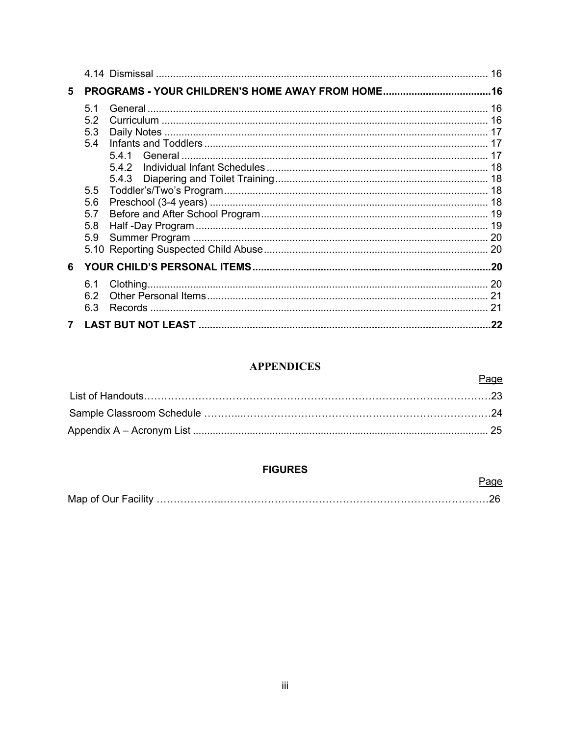| 5 |                                                           |              |     |  |
|---|-----------------------------------------------------------|--------------|-----|--|
|   | 51<br>52<br>5.3<br>5.4<br>5.5<br>5.6<br>5.7<br>5.8<br>5.9 | 541<br>5.4.2 |     |  |
| 6 |                                                           |              |     |  |
|   | 6.1<br>6.2<br>6.3                                         |              |     |  |
|   |                                                           |              | .22 |  |

### **APPENDICES**

Page

Page

### **FIGURES**

|--|--|--|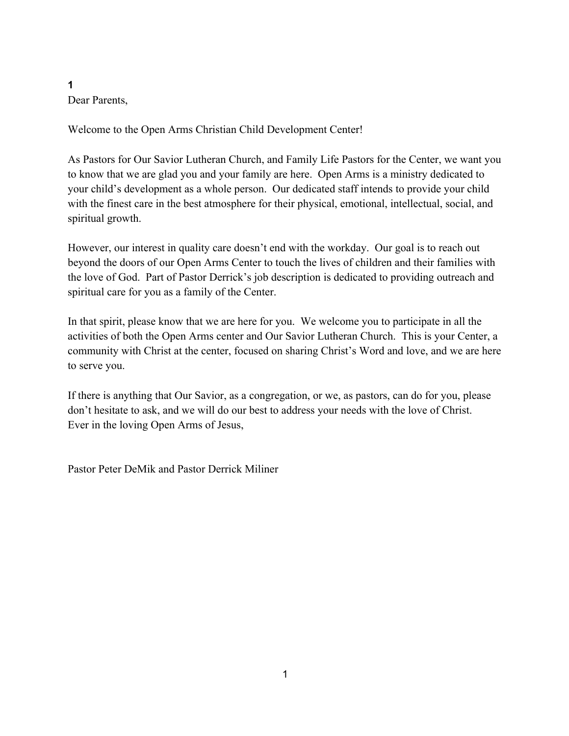**1** Dear Parents,

Welcome to the Open Arms Christian Child Development Center!

As Pastors for Our Savior Lutheran Church, and Family Life Pastors for the Center, we want you to know that we are glad you and your family are here. Open Arms is a ministry dedicated to your child's development as a whole person. Our dedicated staff intends to provide your child with the finest care in the best atmosphere for their physical, emotional, intellectual, social, and spiritual growth.

However, our interest in quality care doesn't end with the workday. Our goal is to reach out beyond the doors of our Open Arms Center to touch the lives of children and their families with the love of God. Part of Pastor Derrick's job description is dedicated to providing outreach and spiritual care for you as a family of the Center.

In that spirit, please know that we are here for you. We welcome you to participate in all the activities of both the Open Arms center and Our Savior Lutheran Church. This is your Center, a community with Christ at the center, focused on sharing Christ's Word and love, and we are here to serve you.

If there is anything that Our Savior, as a congregation, or we, as pastors, can do for you, please don't hesitate to ask, and we will do our best to address your needs with the love of Christ. Ever in the loving Open Arms of Jesus,

Pastor Peter DeMik and Pastor Derrick Miliner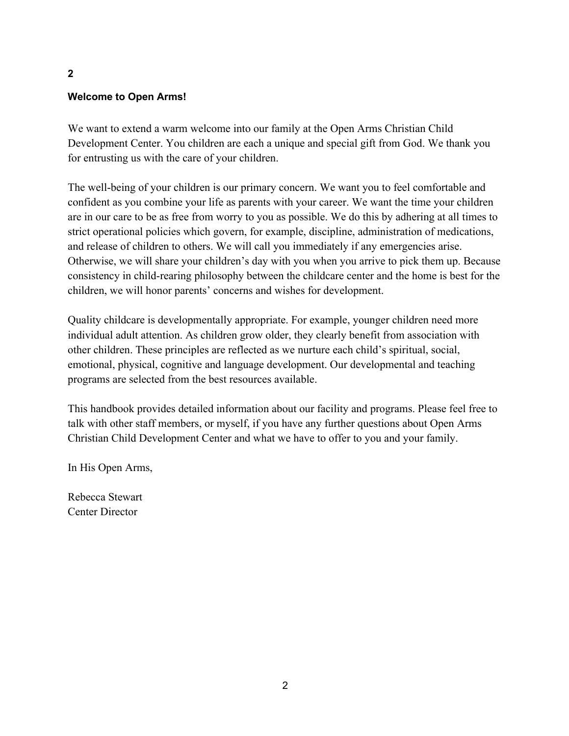### **Welcome to Open Arms!**

We want to extend a warm welcome into our family at the Open Arms Christian Child Development Center. You children are each a unique and special gift from God. We thank you for entrusting us with the care of your children.

The well-being of your children is our primary concern. We want you to feel comfortable and confident as you combine your life as parents with your career. We want the time your children are in our care to be as free from worry to you as possible. We do this by adhering at all times to strict operational policies which govern, for example, discipline, administration of medications, and release of children to others. We will call you immediately if any emergencies arise. Otherwise, we will share your children's day with you when you arrive to pick them up. Because consistency in child-rearing philosophy between the childcare center and the home is best for the children, we will honor parents' concerns and wishes for development.

Quality childcare is developmentally appropriate. For example, younger children need more individual adult attention. As children grow older, they clearly benefit from association with other children. These principles are reflected as we nurture each child's spiritual, social, emotional, physical, cognitive and language development. Our developmental and teaching programs are selected from the best resources available.

This handbook provides detailed information about our facility and programs. Please feel free to talk with other staff members, or myself, if you have any further questions about Open Arms Christian Child Development Center and what we have to offer to you and your family.

In His Open Arms,

Rebecca Stewart Center Director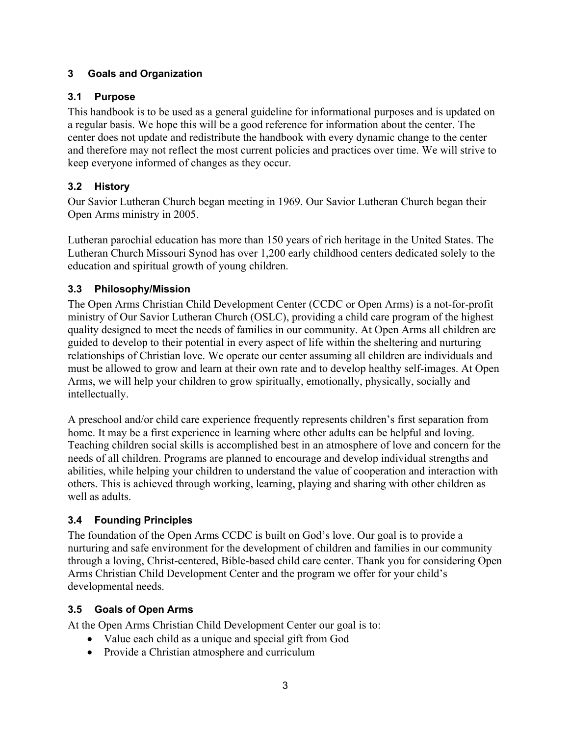### **3 Goals and Organization**

### **3.1 Purpose**

This handbook is to be used as a general guideline for informational purposes and is updated on a regular basis. We hope this will be a good reference for information about the center. The center does not update and redistribute the handbook with every dynamic change to the center and therefore may not reflect the most current policies and practices over time. We will strive to keep everyone informed of changes as they occur.

### **3.2 History**

Our Savior Lutheran Church began meeting in 1969. Our Savior Lutheran Church began their Open Arms ministry in 2005.

Lutheran parochial education has more than 150 years of rich heritage in the United States. The Lutheran Church Missouri Synod has over 1,200 early childhood centers dedicated solely to the education and spiritual growth of young children.

### **3.3 Philosophy/Mission**

The Open Arms Christian Child Development Center (CCDC or Open Arms) is a not-for-profit ministry of Our Savior Lutheran Church (OSLC), providing a child care program of the highest quality designed to meet the needs of families in our community. At Open Arms all children are guided to develop to their potential in every aspect of life within the sheltering and nurturing relationships of Christian love. We operate our center assuming all children are individuals and must be allowed to grow and learn at their own rate and to develop healthy self-images. At Open Arms, we will help your children to grow spiritually, emotionally, physically, socially and intellectually.

A preschool and/or child care experience frequently represents children's first separation from home. It may be a first experience in learning where other adults can be helpful and loving. Teaching children social skills is accomplished best in an atmosphere of love and concern for the needs of all children. Programs are planned to encourage and develop individual strengths and abilities, while helping your children to understand the value of cooperation and interaction with others. This is achieved through working, learning, playing and sharing with other children as well as adults.

### **3.4 Founding Principles**

The foundation of the Open Arms CCDC is built on God's love. Our goal is to provide a nurturing and safe environment for the development of children and families in our community through a loving, Christ-centered, Bible-based child care center. Thank you for considering Open Arms Christian Child Development Center and the program we offer for your child's developmental needs.

### **3.5 Goals of Open Arms**

At the Open Arms Christian Child Development Center our goal is to:

- Value each child as a unique and special gift from God
- Provide a Christian atmosphere and curriculum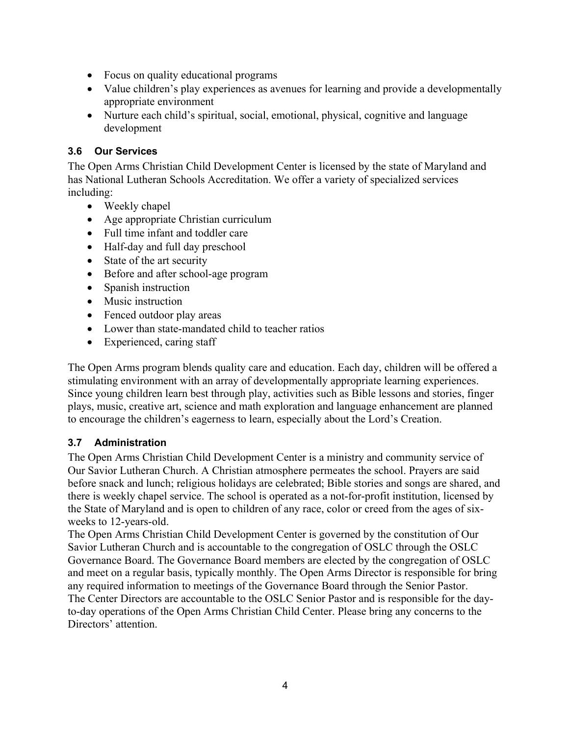- Focus on quality educational programs
- Value children's play experiences as avenues for learning and provide a developmentally appropriate environment
- Nurture each child's spiritual, social, emotional, physical, cognitive and language development

### **3.6 Our Services**

The Open Arms Christian Child Development Center is licensed by the state of Maryland and has National Lutheran Schools Accreditation. We offer a variety of specialized services including:

- Weekly chapel
- Age appropriate Christian curriculum
- Full time infant and toddler care
- Half-day and full day preschool
- State of the art security
- Before and after school-age program
- Spanish instruction
- Music instruction
- Fenced outdoor play areas
- Lower than state-mandated child to teacher ratios
- Experienced, caring staff

The Open Arms program blends quality care and education. Each day, children will be offered a stimulating environment with an array of developmentally appropriate learning experiences. Since young children learn best through play, activities such as Bible lessons and stories, finger plays, music, creative art, science and math exploration and language enhancement are planned to encourage the children's eagerness to learn, especially about the Lord's Creation.

### **3.7 Administration**

The Open Arms Christian Child Development Center is a ministry and community service of Our Savior Lutheran Church. A Christian atmosphere permeates the school. Prayers are said before snack and lunch; religious holidays are celebrated; Bible stories and songs are shared, and there is weekly chapel service. The school is operated as a not-for-profit institution, licensed by the State of Maryland and is open to children of any race, color or creed from the ages of sixweeks to 12-years-old.

The Open Arms Christian Child Development Center is governed by the constitution of Our Savior Lutheran Church and is accountable to the congregation of OSLC through the OSLC Governance Board. The Governance Board members are elected by the congregation of OSLC and meet on a regular basis, typically monthly. The Open Arms Director is responsible for bring any required information to meetings of the Governance Board through the Senior Pastor. The Center Directors are accountable to the OSLC Senior Pastor and is responsible for the dayto-day operations of the Open Arms Christian Child Center. Please bring any concerns to the Directors' attention.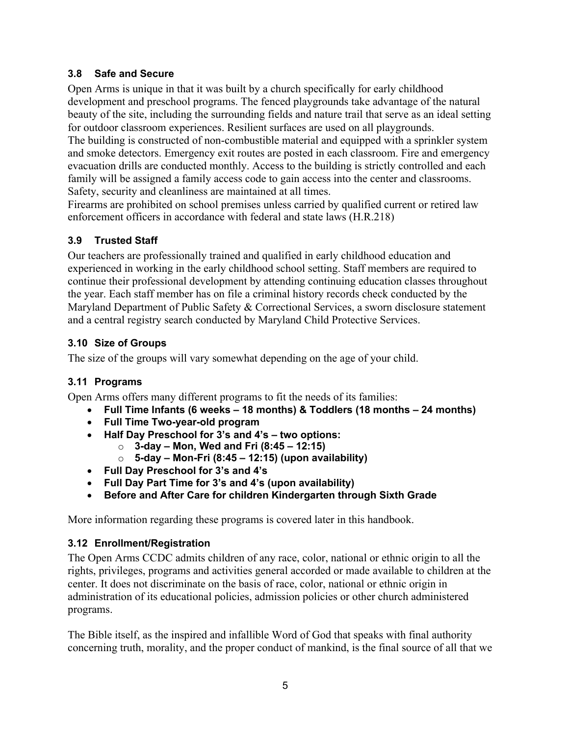### **3.8 Safe and Secure**

Open Arms is unique in that it was built by a church specifically for early childhood development and preschool programs. The fenced playgrounds take advantage of the natural beauty of the site, including the surrounding fields and nature trail that serve as an ideal setting for outdoor classroom experiences. Resilient surfaces are used on all playgrounds.

The building is constructed of non-combustible material and equipped with a sprinkler system and smoke detectors. Emergency exit routes are posted in each classroom. Fire and emergency evacuation drills are conducted monthly. Access to the building is strictly controlled and each family will be assigned a family access code to gain access into the center and classrooms. Safety, security and cleanliness are maintained at all times.

Firearms are prohibited on school premises unless carried by qualified current or retired law enforcement officers in accordance with federal and state laws (H.R.218)

### **3.9 Trusted Staff**

Our teachers are professionally trained and qualified in early childhood education and experienced in working in the early childhood school setting. Staff members are required to continue their professional development by attending continuing education classes throughout the year. Each staff member has on file a criminal history records check conducted by the Maryland Department of Public Safety & Correctional Services, a sworn disclosure statement and a central registry search conducted by Maryland Child Protective Services.

### **3.10 Size of Groups**

The size of the groups will vary somewhat depending on the age of your child.

### **3.11 Programs**

Open Arms offers many different programs to fit the needs of its families:

- **Full Time Infants (6 weeks – 18 months) & Toddlers (18 months – 24 months)**
- **Full Time Two-year-old program**
- **Half Day Preschool for 3's and 4's – two options:**
	- o **3-day – Mon, Wed and Fri (8:45 – 12:15)**
	- o **5-day – Mon-Fri (8:45 – 12:15) (upon availability)**
- **Full Day Preschool for 3's and 4's**
- **Full Day Part Time for 3's and 4's (upon availability)**
- **Before and After Care for children Kindergarten through Sixth Grade**

More information regarding these programs is covered later in this handbook.

### **3.12 Enrollment/Registration**

The Open Arms CCDC admits children of any race, color, national or ethnic origin to all the rights, privileges, programs and activities general accorded or made available to children at the center. It does not discriminate on the basis of race, color, national or ethnic origin in administration of its educational policies, admission policies or other church administered programs.

The Bible itself, as the inspired and infallible Word of God that speaks with final authority concerning truth, morality, and the proper conduct of mankind, is the final source of all that we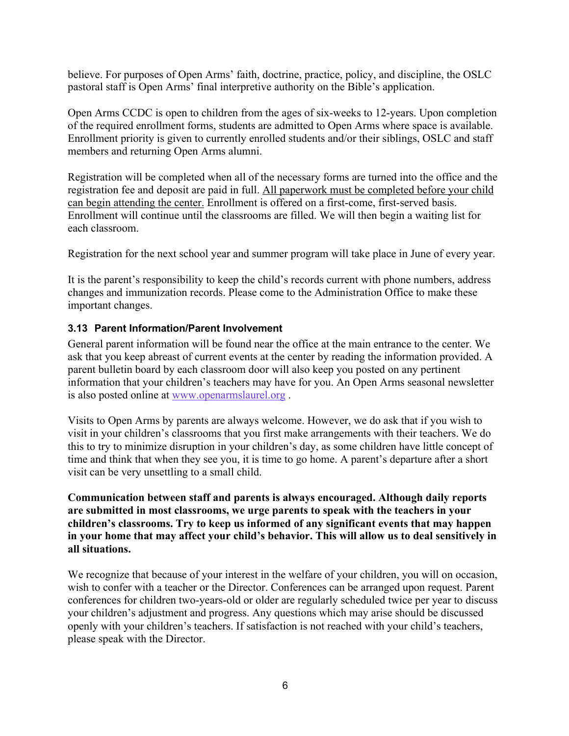believe. For purposes of Open Arms' faith, doctrine, practice, policy, and discipline, the OSLC pastoral staff is Open Arms' final interpretive authority on the Bible's application.

Open Arms CCDC is open to children from the ages of six-weeks to 12-years. Upon completion of the required enrollment forms, students are admitted to Open Arms where space is available. Enrollment priority is given to currently enrolled students and/or their siblings, OSLC and staff members and returning Open Arms alumni.

Registration will be completed when all of the necessary forms are turned into the office and the registration fee and deposit are paid in full. All paperwork must be completed before your child can begin attending the center. Enrollment is offered on a first-come, first-served basis. Enrollment will continue until the classrooms are filled. We will then begin a waiting list for each classroom.

Registration for the next school year and summer program will take place in June of every year.

It is the parent's responsibility to keep the child's records current with phone numbers, address changes and immunization records. Please come to the Administration Office to make these important changes.

### **3.13 Parent Information/Parent Involvement**

General parent information will be found near the office at the main entrance to the center. We ask that you keep abreast of current events at the center by reading the information provided. A parent bulletin board by each classroom door will also keep you posted on any pertinent information that your children's teachers may have for you. An Open Arms seasonal newsletter is also posted online at www.openarmslaurel.org .

Visits to Open Arms by parents are always welcome. However, we do ask that if you wish to visit in your children's classrooms that you first make arrangements with their teachers. We do this to try to minimize disruption in your children's day, as some children have little concept of time and think that when they see you, it is time to go home. A parent's departure after a short visit can be very unsettling to a small child.

#### **Communication between staff and parents is always encouraged. Although daily reports are submitted in most classrooms, we urge parents to speak with the teachers in your children's classrooms. Try to keep us informed of any significant events that may happen in your home that may affect your child's behavior. This will allow us to deal sensitively in all situations.**

We recognize that because of your interest in the welfare of your children, you will on occasion, wish to confer with a teacher or the Director. Conferences can be arranged upon request. Parent conferences for children two-years-old or older are regularly scheduled twice per year to discuss your children's adjustment and progress. Any questions which may arise should be discussed openly with your children's teachers. If satisfaction is not reached with your child's teachers, please speak with the Director.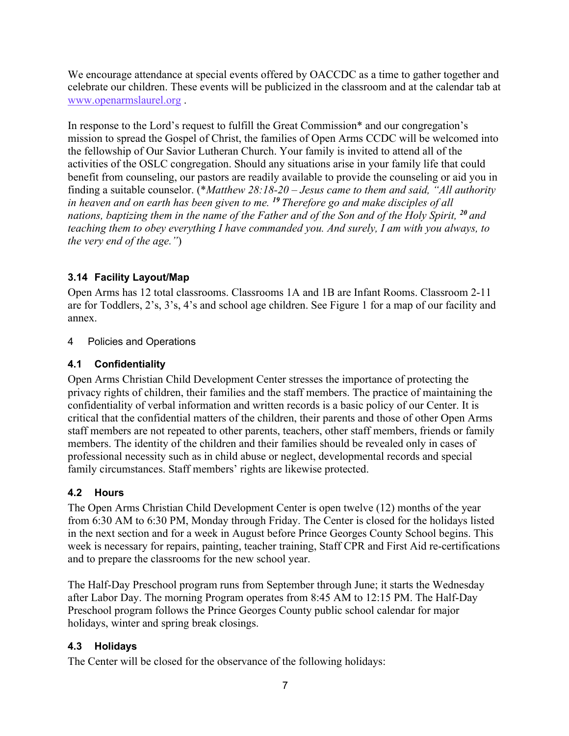We encourage attendance at special events offered by OACCDC as a time to gather together and celebrate our children. These events will be publicized in the classroom and at the calendar tab at www.openarmslaurel.org .

In response to the Lord's request to fulfill the Great Commission\* and our congregation's mission to spread the Gospel of Christ, the families of Open Arms CCDC will be welcomed into the fellowship of Our Savior Lutheran Church. Your family is invited to attend all of the activities of the OSLC congregation. Should any situations arise in your family life that could benefit from counseling, our pastors are readily available to provide the counseling or aid you in finding a suitable counselor. (\**Matthew 28:18-20 – Jesus came to them and said, "All authority in heaven and on earth has been given to me. <sup>19</sup> Therefore go and make disciples of all nations, baptizing them in the name of the Father and of the Son and of the Holy Spirit, <sup>20</sup> and teaching them to obey everything I have commanded you. And surely, I am with you always, to the very end of the age."*)

### **3.14 Facility Layout/Map**

Open Arms has 12 total classrooms. Classrooms 1A and 1B are Infant Rooms. Classroom 2-11 are for Toddlers, 2's, 3's, 4's and school age children. See Figure 1 for a map of our facility and annex.

### 4 Policies and Operations

### **4.1 Confidentiality**

Open Arms Christian Child Development Center stresses the importance of protecting the privacy rights of children, their families and the staff members. The practice of maintaining the confidentiality of verbal information and written records is a basic policy of our Center. It is critical that the confidential matters of the children, their parents and those of other Open Arms staff members are not repeated to other parents, teachers, other staff members, friends or family members. The identity of the children and their families should be revealed only in cases of professional necessity such as in child abuse or neglect, developmental records and special family circumstances. Staff members' rights are likewise protected.

### **4.2 Hours**

The Open Arms Christian Child Development Center is open twelve (12) months of the year from 6:30 AM to 6:30 PM, Monday through Friday. The Center is closed for the holidays listed in the next section and for a week in August before Prince Georges County School begins. This week is necessary for repairs, painting, teacher training, Staff CPR and First Aid re-certifications and to prepare the classrooms for the new school year.

The Half-Day Preschool program runs from September through June; it starts the Wednesday after Labor Day. The morning Program operates from 8:45 AM to 12:15 PM. The Half-Day Preschool program follows the Prince Georges County public school calendar for major holidays, winter and spring break closings.

### **4.3 Holidays**

The Center will be closed for the observance of the following holidays: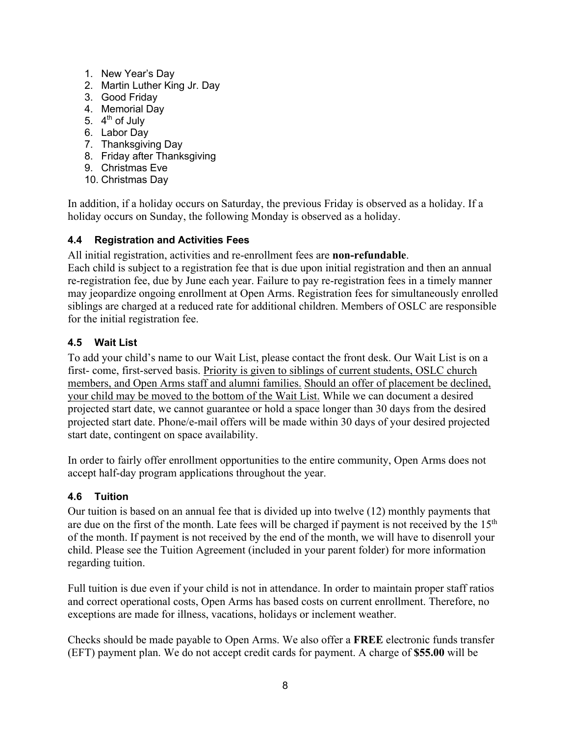- 1. New Year's Day
- 2. Martin Luther King Jr. Day
- 3. Good Friday
- 4. Memorial Day
- 5.  $4<sup>th</sup>$  of July
- 6. Labor Day
- 7. Thanksgiving Day
- 8. Friday after Thanksgiving
- 9. Christmas Eve
- 10. Christmas Day

In addition, if a holiday occurs on Saturday, the previous Friday is observed as a holiday. If a holiday occurs on Sunday, the following Monday is observed as a holiday.

### **4.4 Registration and Activities Fees**

All initial registration, activities and re-enrollment fees are **non-refundable**.

Each child is subject to a registration fee that is due upon initial registration and then an annual re-registration fee, due by June each year. Failure to pay re-registration fees in a timely manner may jeopardize ongoing enrollment at Open Arms. Registration fees for simultaneously enrolled siblings are charged at a reduced rate for additional children. Members of OSLC are responsible for the initial registration fee.

### **4.5 Wait List**

To add your child's name to our Wait List, please contact the front desk. Our Wait List is on a first- come, first-served basis. Priority is given to siblings of current students, OSLC church members, and Open Arms staff and alumni families. Should an offer of placement be declined, your child may be moved to the bottom of the Wait List. While we can document a desired projected start date, we cannot guarantee or hold a space longer than 30 days from the desired projected start date. Phone/e-mail offers will be made within 30 days of your desired projected start date, contingent on space availability.

In order to fairly offer enrollment opportunities to the entire community, Open Arms does not accept half-day program applications throughout the year.

### **4.6 Tuition**

Our tuition is based on an annual fee that is divided up into twelve (12) monthly payments that are due on the first of the month. Late fees will be charged if payment is not received by the  $15<sup>th</sup>$ of the month. If payment is not received by the end of the month, we will have to disenroll your child. Please see the Tuition Agreement (included in your parent folder) for more information regarding tuition.

Full tuition is due even if your child is not in attendance. In order to maintain proper staff ratios and correct operational costs, Open Arms has based costs on current enrollment. Therefore, no exceptions are made for illness, vacations, holidays or inclement weather.

Checks should be made payable to Open Arms. We also offer a **FREE** electronic funds transfer (EFT) payment plan. We do not accept credit cards for payment. A charge of **\$55.00** will be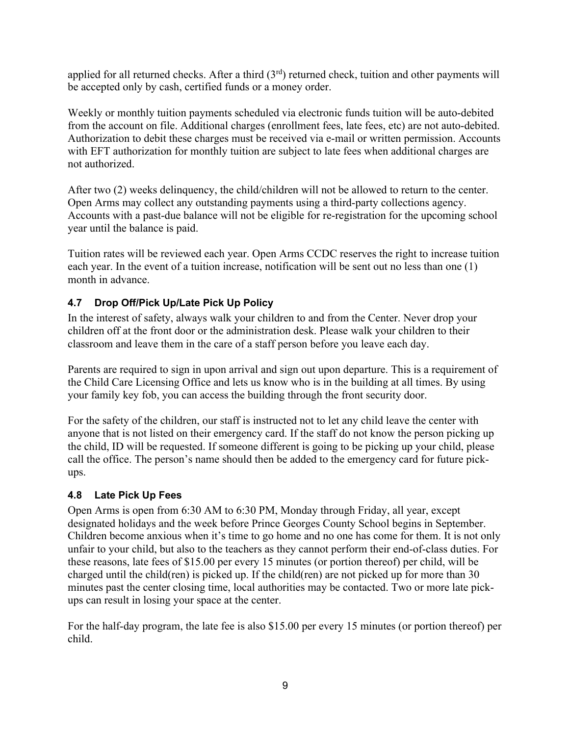applied for all returned checks. After a third  $(3<sup>rd</sup>)$  returned check, tuition and other payments will be accepted only by cash, certified funds or a money order.

Weekly or monthly tuition payments scheduled via electronic funds tuition will be auto-debited from the account on file. Additional charges (enrollment fees, late fees, etc) are not auto-debited. Authorization to debit these charges must be received via e-mail or written permission. Accounts with EFT authorization for monthly tuition are subject to late fees when additional charges are not authorized.

After two (2) weeks delinquency, the child/children will not be allowed to return to the center. Open Arms may collect any outstanding payments using a third-party collections agency. Accounts with a past-due balance will not be eligible for re-registration for the upcoming school year until the balance is paid.

Tuition rates will be reviewed each year. Open Arms CCDC reserves the right to increase tuition each year. In the event of a tuition increase, notification will be sent out no less than one (1) month in advance.

### **4.7 Drop Off/Pick Up/Late Pick Up Policy**

In the interest of safety, always walk your children to and from the Center. Never drop your children off at the front door or the administration desk. Please walk your children to their classroom and leave them in the care of a staff person before you leave each day.

Parents are required to sign in upon arrival and sign out upon departure. This is a requirement of the Child Care Licensing Office and lets us know who is in the building at all times. By using your family key fob, you can access the building through the front security door.

For the safety of the children, our staff is instructed not to let any child leave the center with anyone that is not listed on their emergency card. If the staff do not know the person picking up the child, ID will be requested. If someone different is going to be picking up your child, please call the office. The person's name should then be added to the emergency card for future pickups.

### **4.8 Late Pick Up Fees**

Open Arms is open from 6:30 AM to 6:30 PM, Monday through Friday, all year, except designated holidays and the week before Prince Georges County School begins in September. Children become anxious when it's time to go home and no one has come for them. It is not only unfair to your child, but also to the teachers as they cannot perform their end-of-class duties. For these reasons, late fees of \$15.00 per every 15 minutes (or portion thereof) per child, will be charged until the child(ren) is picked up. If the child(ren) are not picked up for more than 30 minutes past the center closing time, local authorities may be contacted. Two or more late pickups can result in losing your space at the center.

For the half-day program, the late fee is also \$15.00 per every 15 minutes (or portion thereof) per child.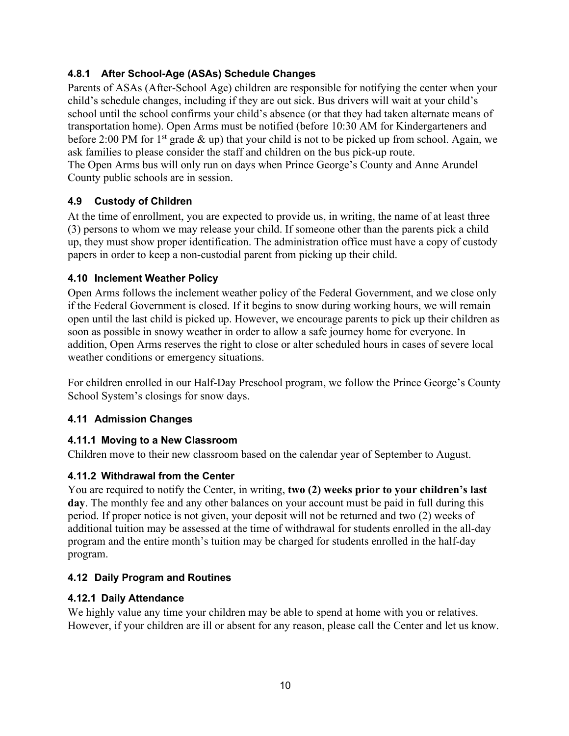### **4.8.1 After School-Age (ASAs) Schedule Changes**

Parents of ASAs (After-School Age) children are responsible for notifying the center when your child's schedule changes, including if they are out sick. Bus drivers will wait at your child's school until the school confirms your child's absence (or that they had taken alternate means of transportation home). Open Arms must be notified (before 10:30 AM for Kindergarteners and before 2:00 PM for  $1<sup>st</sup>$  grade  $\&$  up) that your child is not to be picked up from school. Again, we ask families to please consider the staff and children on the bus pick-up route. The Open Arms bus will only run on days when Prince George's County and Anne Arundel County public schools are in session.

### **4.9 Custody of Children**

At the time of enrollment, you are expected to provide us, in writing, the name of at least three (3) persons to whom we may release your child. If someone other than the parents pick a child up, they must show proper identification. The administration office must have a copy of custody papers in order to keep a non-custodial parent from picking up their child.

### **4.10 Inclement Weather Policy**

Open Arms follows the inclement weather policy of the Federal Government, and we close only if the Federal Government is closed. If it begins to snow during working hours, we will remain open until the last child is picked up. However, we encourage parents to pick up their children as soon as possible in snowy weather in order to allow a safe journey home for everyone. In addition, Open Arms reserves the right to close or alter scheduled hours in cases of severe local weather conditions or emergency situations.

For children enrolled in our Half-Day Preschool program, we follow the Prince George's County School System's closings for snow days.

### **4.11 Admission Changes**

### **4.11.1 Moving to a New Classroom**

Children move to their new classroom based on the calendar year of September to August.

### **4.11.2 Withdrawal from the Center**

You are required to notify the Center, in writing, **two (2) weeks prior to your children's last day**. The monthly fee and any other balances on your account must be paid in full during this period. If proper notice is not given, your deposit will not be returned and two (2) weeks of additional tuition may be assessed at the time of withdrawal for students enrolled in the all-day program and the entire month's tuition may be charged for students enrolled in the half-day program.

### **4.12 Daily Program and Routines**

### **4.12.1 Daily Attendance**

We highly value any time your children may be able to spend at home with you or relatives. However, if your children are ill or absent for any reason, please call the Center and let us know.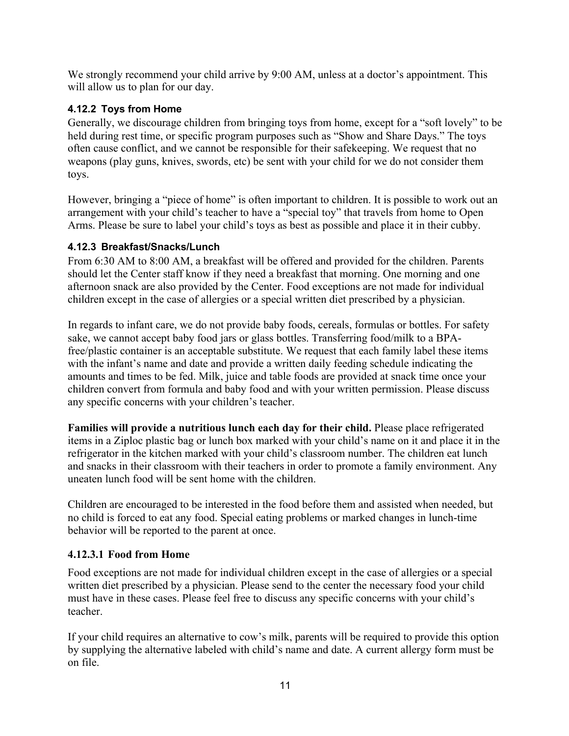We strongly recommend your child arrive by 9:00 AM, unless at a doctor's appointment. This will allow us to plan for our day.

### **4.12.2 Toys from Home**

Generally, we discourage children from bringing toys from home, except for a "soft lovely" to be held during rest time, or specific program purposes such as "Show and Share Days." The toys often cause conflict, and we cannot be responsible for their safekeeping. We request that no weapons (play guns, knives, swords, etc) be sent with your child for we do not consider them toys.

However, bringing a "piece of home" is often important to children. It is possible to work out an arrangement with your child's teacher to have a "special toy" that travels from home to Open Arms. Please be sure to label your child's toys as best as possible and place it in their cubby.

### **4.12.3 Breakfast/Snacks/Lunch**

From 6:30 AM to 8:00 AM, a breakfast will be offered and provided for the children. Parents should let the Center staff know if they need a breakfast that morning. One morning and one afternoon snack are also provided by the Center. Food exceptions are not made for individual children except in the case of allergies or a special written diet prescribed by a physician.

In regards to infant care, we do not provide baby foods, cereals, formulas or bottles. For safety sake, we cannot accept baby food jars or glass bottles. Transferring food/milk to a BPAfree/plastic container is an acceptable substitute. We request that each family label these items with the infant's name and date and provide a written daily feeding schedule indicating the amounts and times to be fed. Milk, juice and table foods are provided at snack time once your children convert from formula and baby food and with your written permission. Please discuss any specific concerns with your children's teacher.

**Families will provide a nutritious lunch each day for their child.** Please place refrigerated items in a Ziploc plastic bag or lunch box marked with your child's name on it and place it in the refrigerator in the kitchen marked with your child's classroom number. The children eat lunch and snacks in their classroom with their teachers in order to promote a family environment. Any uneaten lunch food will be sent home with the children.

Children are encouraged to be interested in the food before them and assisted when needed, but no child is forced to eat any food. Special eating problems or marked changes in lunch-time behavior will be reported to the parent at once.

### **4.12.3.1 Food from Home**

Food exceptions are not made for individual children except in the case of allergies or a special written diet prescribed by a physician. Please send to the center the necessary food your child must have in these cases. Please feel free to discuss any specific concerns with your child's teacher.

If your child requires an alternative to cow's milk, parents will be required to provide this option by supplying the alternative labeled with child's name and date. A current allergy form must be on file.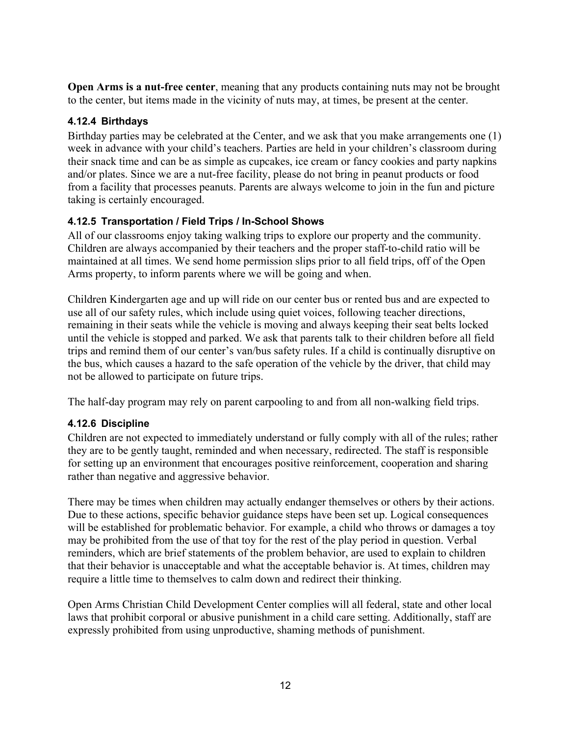**Open Arms is a nut-free center**, meaning that any products containing nuts may not be brought to the center, but items made in the vicinity of nuts may, at times, be present at the center.

### **4.12.4 Birthdays**

Birthday parties may be celebrated at the Center, and we ask that you make arrangements one (1) week in advance with your child's teachers. Parties are held in your children's classroom during their snack time and can be as simple as cupcakes, ice cream or fancy cookies and party napkins and/or plates. Since we are a nut-free facility, please do not bring in peanut products or food from a facility that processes peanuts. Parents are always welcome to join in the fun and picture taking is certainly encouraged.

### **4.12.5 Transportation / Field Trips / In-School Shows**

All of our classrooms enjoy taking walking trips to explore our property and the community. Children are always accompanied by their teachers and the proper staff-to-child ratio will be maintained at all times. We send home permission slips prior to all field trips, off of the Open Arms property, to inform parents where we will be going and when.

Children Kindergarten age and up will ride on our center bus or rented bus and are expected to use all of our safety rules, which include using quiet voices, following teacher directions, remaining in their seats while the vehicle is moving and always keeping their seat belts locked until the vehicle is stopped and parked. We ask that parents talk to their children before all field trips and remind them of our center's van/bus safety rules. If a child is continually disruptive on the bus, which causes a hazard to the safe operation of the vehicle by the driver, that child may not be allowed to participate on future trips.

The half-day program may rely on parent carpooling to and from all non-walking field trips.

### **4.12.6 Discipline**

Children are not expected to immediately understand or fully comply with all of the rules; rather they are to be gently taught, reminded and when necessary, redirected. The staff is responsible for setting up an environment that encourages positive reinforcement, cooperation and sharing rather than negative and aggressive behavior.

There may be times when children may actually endanger themselves or others by their actions. Due to these actions, specific behavior guidance steps have been set up. Logical consequences will be established for problematic behavior. For example, a child who throws or damages a toy may be prohibited from the use of that toy for the rest of the play period in question. Verbal reminders, which are brief statements of the problem behavior, are used to explain to children that their behavior is unacceptable and what the acceptable behavior is. At times, children may require a little time to themselves to calm down and redirect their thinking.

Open Arms Christian Child Development Center complies will all federal, state and other local laws that prohibit corporal or abusive punishment in a child care setting. Additionally, staff are expressly prohibited from using unproductive, shaming methods of punishment.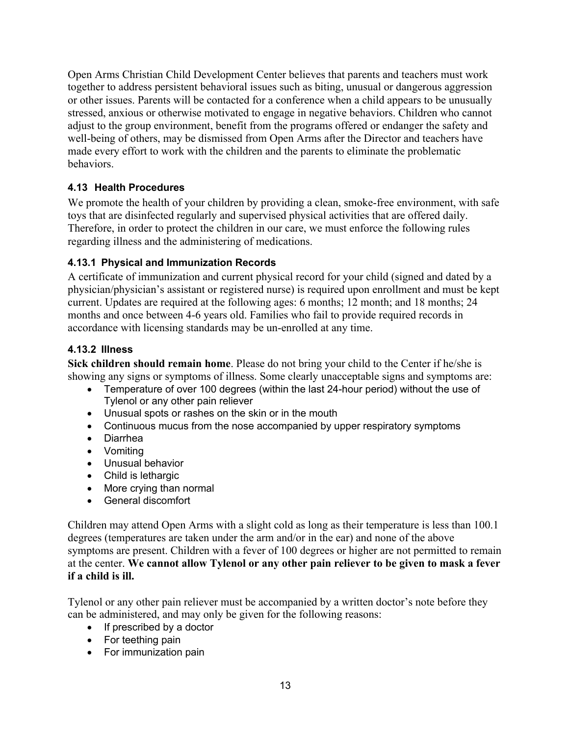Open Arms Christian Child Development Center believes that parents and teachers must work together to address persistent behavioral issues such as biting, unusual or dangerous aggression or other issues. Parents will be contacted for a conference when a child appears to be unusually stressed, anxious or otherwise motivated to engage in negative behaviors. Children who cannot adjust to the group environment, benefit from the programs offered or endanger the safety and well-being of others, may be dismissed from Open Arms after the Director and teachers have made every effort to work with the children and the parents to eliminate the problematic behaviors.

### **4.13 Health Procedures**

We promote the health of your children by providing a clean, smoke-free environment, with safe toys that are disinfected regularly and supervised physical activities that are offered daily. Therefore, in order to protect the children in our care, we must enforce the following rules regarding illness and the administering of medications.

### **4.13.1 Physical and Immunization Records**

A certificate of immunization and current physical record for your child (signed and dated by a physician/physician's assistant or registered nurse) is required upon enrollment and must be kept current. Updates are required at the following ages: 6 months; 12 month; and 18 months; 24 months and once between 4-6 years old. Families who fail to provide required records in accordance with licensing standards may be un-enrolled at any time.

### **4.13.2 Illness**

**Sick children should remain home**. Please do not bring your child to the Center if he/she is showing any signs or symptoms of illness. Some clearly unacceptable signs and symptoms are:

- Temperature of over 100 degrees (within the last 24-hour period) without the use of Tylenol or any other pain reliever
- Unusual spots or rashes on the skin or in the mouth
- Continuous mucus from the nose accompanied by upper respiratory symptoms
- Diarrhea
- Vomiting
- Unusual behavior
- Child is lethargic
- More crying than normal
- General discomfort

Children may attend Open Arms with a slight cold as long as their temperature is less than 100.1 degrees (temperatures are taken under the arm and/or in the ear) and none of the above symptoms are present. Children with a fever of 100 degrees or higher are not permitted to remain at the center. **We cannot allow Tylenol or any other pain reliever to be given to mask a fever if a child is ill.**

Tylenol or any other pain reliever must be accompanied by a written doctor's note before they can be administered, and may only be given for the following reasons:

- If prescribed by a doctor
- For teething pain
- For immunization pain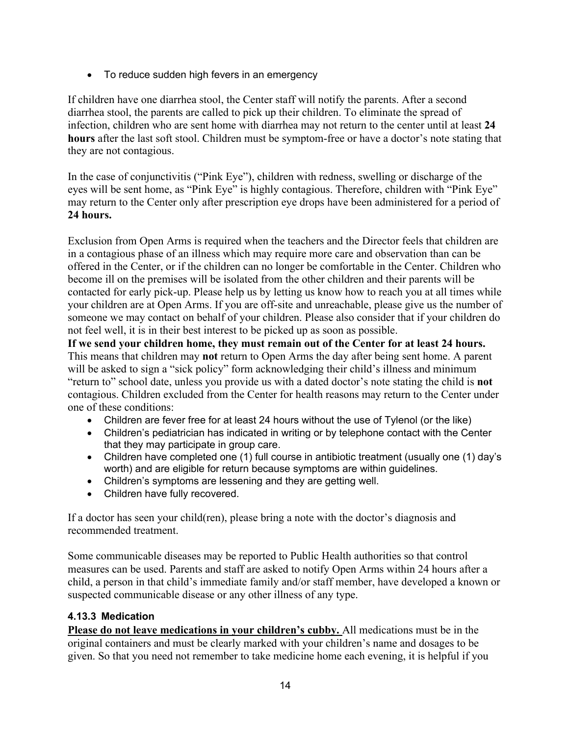• To reduce sudden high fevers in an emergency

If children have one diarrhea stool, the Center staff will notify the parents. After a second diarrhea stool, the parents are called to pick up their children. To eliminate the spread of infection, children who are sent home with diarrhea may not return to the center until at least **24 hours** after the last soft stool. Children must be symptom-free or have a doctor's note stating that they are not contagious.

In the case of conjunctivitis ("Pink Eye"), children with redness, swelling or discharge of the eyes will be sent home, as "Pink Eye" is highly contagious. Therefore, children with "Pink Eye" may return to the Center only after prescription eye drops have been administered for a period of **24 hours.**

Exclusion from Open Arms is required when the teachers and the Director feels that children are in a contagious phase of an illness which may require more care and observation than can be offered in the Center, or if the children can no longer be comfortable in the Center. Children who become ill on the premises will be isolated from the other children and their parents will be contacted for early pick-up. Please help us by letting us know how to reach you at all times while your children are at Open Arms. If you are off-site and unreachable, please give us the number of someone we may contact on behalf of your children. Please also consider that if your children do not feel well, it is in their best interest to be picked up as soon as possible.

**If we send your children home, they must remain out of the Center for at least 24 hours.** This means that children may **not** return to Open Arms the day after being sent home. A parent will be asked to sign a "sick policy" form acknowledging their child's illness and minimum "return to" school date, unless you provide us with a dated doctor's note stating the child is **not** contagious. Children excluded from the Center for health reasons may return to the Center under one of these conditions:

- Children are fever free for at least 24 hours without the use of Tylenol (or the like)
- Children's pediatrician has indicated in writing or by telephone contact with the Center that they may participate in group care.
- Children have completed one (1) full course in antibiotic treatment (usually one (1) day's worth) and are eligible for return because symptoms are within guidelines.
- Children's symptoms are lessening and they are getting well.
- Children have fully recovered.

If a doctor has seen your child(ren), please bring a note with the doctor's diagnosis and recommended treatment.

Some communicable diseases may be reported to Public Health authorities so that control measures can be used. Parents and staff are asked to notify Open Arms within 24 hours after a child, a person in that child's immediate family and/or staff member, have developed a known or suspected communicable disease or any other illness of any type.

### **4.13.3 Medication**

**Please do not leave medications in your children's cubby.** All medications must be in the original containers and must be clearly marked with your children's name and dosages to be given. So that you need not remember to take medicine home each evening, it is helpful if you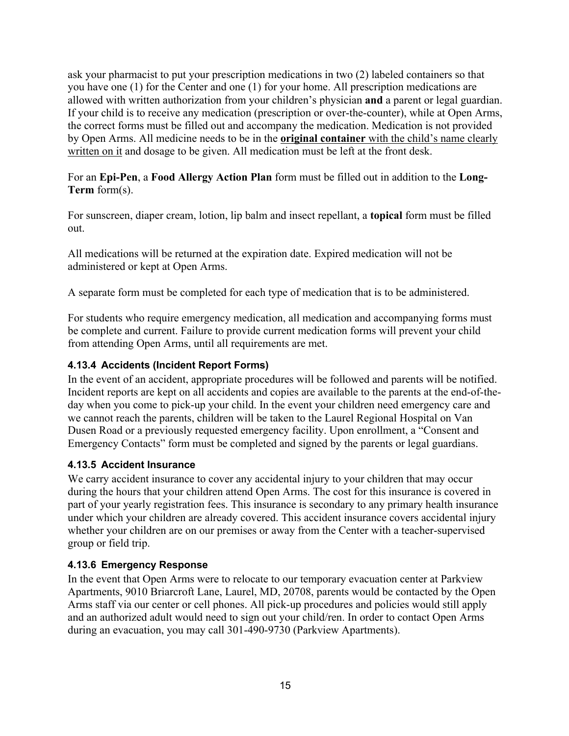ask your pharmacist to put your prescription medications in two (2) labeled containers so that you have one (1) for the Center and one (1) for your home. All prescription medications are allowed with written authorization from your children's physician **and** a parent or legal guardian. If your child is to receive any medication (prescription or over-the-counter), while at Open Arms, the correct forms must be filled out and accompany the medication. Medication is not provided by Open Arms. All medicine needs to be in the **original container** with the child's name clearly written on it and dosage to be given. All medication must be left at the front desk.

For an **Epi-Pen**, a **Food Allergy Action Plan** form must be filled out in addition to the **Long-Term** form(s).

For sunscreen, diaper cream, lotion, lip balm and insect repellant, a **topical** form must be filled out.

All medications will be returned at the expiration date. Expired medication will not be administered or kept at Open Arms.

A separate form must be completed for each type of medication that is to be administered.

For students who require emergency medication, all medication and accompanying forms must be complete and current. Failure to provide current medication forms will prevent your child from attending Open Arms, until all requirements are met.

### **4.13.4 Accidents (Incident Report Forms)**

In the event of an accident, appropriate procedures will be followed and parents will be notified. Incident reports are kept on all accidents and copies are available to the parents at the end-of-theday when you come to pick-up your child. In the event your children need emergency care and we cannot reach the parents, children will be taken to the Laurel Regional Hospital on Van Dusen Road or a previously requested emergency facility. Upon enrollment, a "Consent and Emergency Contacts" form must be completed and signed by the parents or legal guardians.

### **4.13.5 Accident Insurance**

We carry accident insurance to cover any accidental injury to your children that may occur during the hours that your children attend Open Arms. The cost for this insurance is covered in part of your yearly registration fees. This insurance is secondary to any primary health insurance under which your children are already covered. This accident insurance covers accidental injury whether your children are on our premises or away from the Center with a teacher-supervised group or field trip.

### **4.13.6 Emergency Response**

In the event that Open Arms were to relocate to our temporary evacuation center at Parkview Apartments, 9010 Briarcroft Lane, Laurel, MD, 20708, parents would be contacted by the Open Arms staff via our center or cell phones. All pick-up procedures and policies would still apply and an authorized adult would need to sign out your child/ren. In order to contact Open Arms during an evacuation, you may call 301-490-9730 (Parkview Apartments).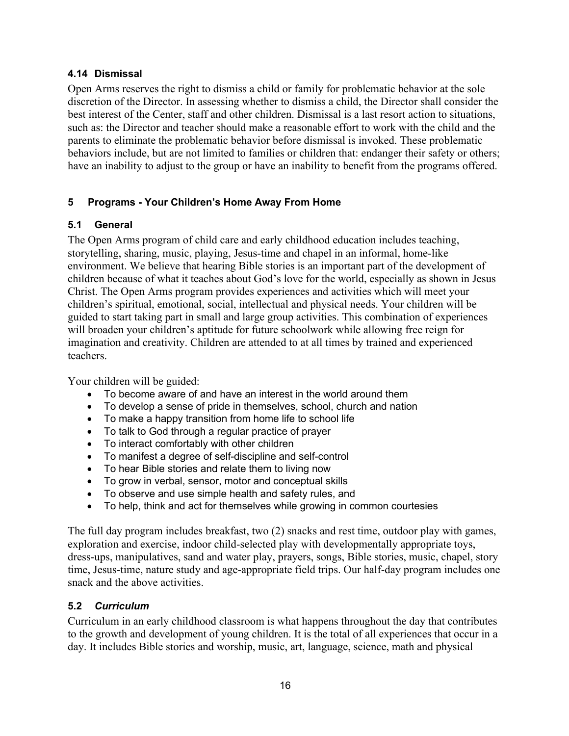#### **4.14 Dismissal**

Open Arms reserves the right to dismiss a child or family for problematic behavior at the sole discretion of the Director. In assessing whether to dismiss a child, the Director shall consider the best interest of the Center, staff and other children. Dismissal is a last resort action to situations, such as: the Director and teacher should make a reasonable effort to work with the child and the parents to eliminate the problematic behavior before dismissal is invoked. These problematic behaviors include, but are not limited to families or children that: endanger their safety or others; have an inability to adjust to the group or have an inability to benefit from the programs offered.

### **5 Programs - Your Children's Home Away From Home**

### **5.1 General**

The Open Arms program of child care and early childhood education includes teaching, storytelling, sharing, music, playing, Jesus-time and chapel in an informal, home-like environment. We believe that hearing Bible stories is an important part of the development of children because of what it teaches about God's love for the world, especially as shown in Jesus Christ. The Open Arms program provides experiences and activities which will meet your children's spiritual, emotional, social, intellectual and physical needs. Your children will be guided to start taking part in small and large group activities. This combination of experiences will broaden your children's aptitude for future schoolwork while allowing free reign for imagination and creativity. Children are attended to at all times by trained and experienced teachers.

Your children will be guided:

- To become aware of and have an interest in the world around them
- To develop a sense of pride in themselves, school, church and nation
- To make a happy transition from home life to school life
- To talk to God through a regular practice of prayer
- To interact comfortably with other children
- To manifest a degree of self-discipline and self-control
- To hear Bible stories and relate them to living now
- To grow in verbal, sensor, motor and conceptual skills
- To observe and use simple health and safety rules, and
- To help, think and act for themselves while growing in common courtesies

The full day program includes breakfast, two (2) snacks and rest time, outdoor play with games, exploration and exercise, indoor child-selected play with developmentally appropriate toys, dress-ups, manipulatives, sand and water play, prayers, songs, Bible stories, music, chapel, story time, Jesus-time, nature study and age-appropriate field trips. Our half-day program includes one snack and the above activities.

#### **5.2** *Curriculum*

Curriculum in an early childhood classroom is what happens throughout the day that contributes to the growth and development of young children. It is the total of all experiences that occur in a day. It includes Bible stories and worship, music, art, language, science, math and physical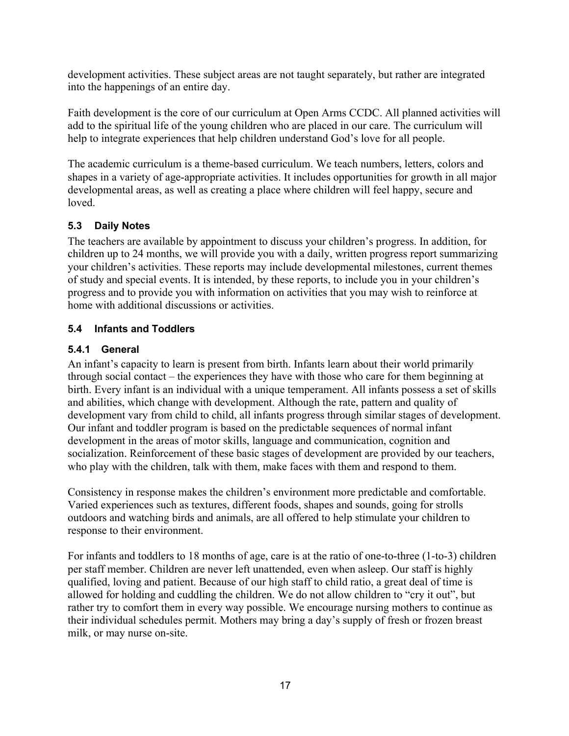development activities. These subject areas are not taught separately, but rather are integrated into the happenings of an entire day.

Faith development is the core of our curriculum at Open Arms CCDC. All planned activities will add to the spiritual life of the young children who are placed in our care. The curriculum will help to integrate experiences that help children understand God's love for all people.

The academic curriculum is a theme-based curriculum. We teach numbers, letters, colors and shapes in a variety of age-appropriate activities. It includes opportunities for growth in all major developmental areas, as well as creating a place where children will feel happy, secure and loved.

### **5.3 Daily Notes**

The teachers are available by appointment to discuss your children's progress. In addition, for children up to 24 months, we will provide you with a daily, written progress report summarizing your children's activities. These reports may include developmental milestones, current themes of study and special events. It is intended, by these reports, to include you in your children's progress and to provide you with information on activities that you may wish to reinforce at home with additional discussions or activities.

### **5.4 Infants and Toddlers**

### **5.4.1 General**

An infant's capacity to learn is present from birth. Infants learn about their world primarily through social contact – the experiences they have with those who care for them beginning at birth. Every infant is an individual with a unique temperament. All infants possess a set of skills and abilities, which change with development. Although the rate, pattern and quality of development vary from child to child, all infants progress through similar stages of development. Our infant and toddler program is based on the predictable sequences of normal infant development in the areas of motor skills, language and communication, cognition and socialization. Reinforcement of these basic stages of development are provided by our teachers, who play with the children, talk with them, make faces with them and respond to them.

Consistency in response makes the children's environment more predictable and comfortable. Varied experiences such as textures, different foods, shapes and sounds, going for strolls outdoors and watching birds and animals, are all offered to help stimulate your children to response to their environment.

For infants and toddlers to 18 months of age, care is at the ratio of one-to-three (1-to-3) children per staff member. Children are never left unattended, even when asleep. Our staff is highly qualified, loving and patient. Because of our high staff to child ratio, a great deal of time is allowed for holding and cuddling the children. We do not allow children to "cry it out", but rather try to comfort them in every way possible. We encourage nursing mothers to continue as their individual schedules permit. Mothers may bring a day's supply of fresh or frozen breast milk, or may nurse on-site.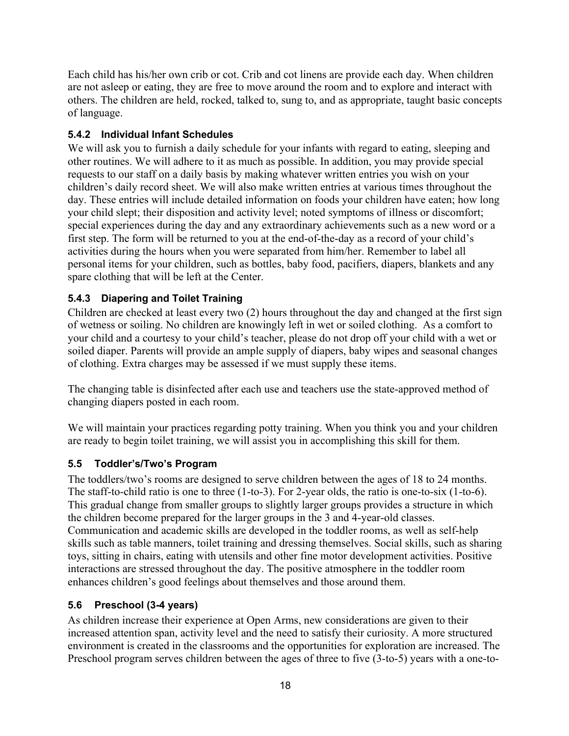Each child has his/her own crib or cot. Crib and cot linens are provide each day. When children are not asleep or eating, they are free to move around the room and to explore and interact with others. The children are held, rocked, talked to, sung to, and as appropriate, taught basic concepts of language.

### **5.4.2 Individual Infant Schedules**

We will ask you to furnish a daily schedule for your infants with regard to eating, sleeping and other routines. We will adhere to it as much as possible. In addition, you may provide special requests to our staff on a daily basis by making whatever written entries you wish on your children's daily record sheet. We will also make written entries at various times throughout the day. These entries will include detailed information on foods your children have eaten; how long your child slept; their disposition and activity level; noted symptoms of illness or discomfort; special experiences during the day and any extraordinary achievements such as a new word or a first step. The form will be returned to you at the end-of-the-day as a record of your child's activities during the hours when you were separated from him/her. Remember to label all personal items for your children, such as bottles, baby food, pacifiers, diapers, blankets and any spare clothing that will be left at the Center.

### **5.4.3 Diapering and Toilet Training**

Children are checked at least every two (2) hours throughout the day and changed at the first sign of wetness or soiling. No children are knowingly left in wet or soiled clothing. As a comfort to your child and a courtesy to your child's teacher, please do not drop off your child with a wet or soiled diaper. Parents will provide an ample supply of diapers, baby wipes and seasonal changes of clothing. Extra charges may be assessed if we must supply these items.

The changing table is disinfected after each use and teachers use the state-approved method of changing diapers posted in each room.

We will maintain your practices regarding potty training. When you think you and your children are ready to begin toilet training, we will assist you in accomplishing this skill for them.

### **5.5 Toddler's/Two's Program**

The toddlers/two's rooms are designed to serve children between the ages of 18 to 24 months. The staff-to-child ratio is one to three (1-to-3). For 2-year olds, the ratio is one-to-six (1-to-6). This gradual change from smaller groups to slightly larger groups provides a structure in which the children become prepared for the larger groups in the 3 and 4-year-old classes. Communication and academic skills are developed in the toddler rooms, as well as self-help skills such as table manners, toilet training and dressing themselves. Social skills, such as sharing toys, sitting in chairs, eating with utensils and other fine motor development activities. Positive interactions are stressed throughout the day. The positive atmosphere in the toddler room enhances children's good feelings about themselves and those around them.

### **5.6 Preschool (3-4 years)**

As children increase their experience at Open Arms, new considerations are given to their increased attention span, activity level and the need to satisfy their curiosity. A more structured environment is created in the classrooms and the opportunities for exploration are increased. The Preschool program serves children between the ages of three to five (3-to-5) years with a one-to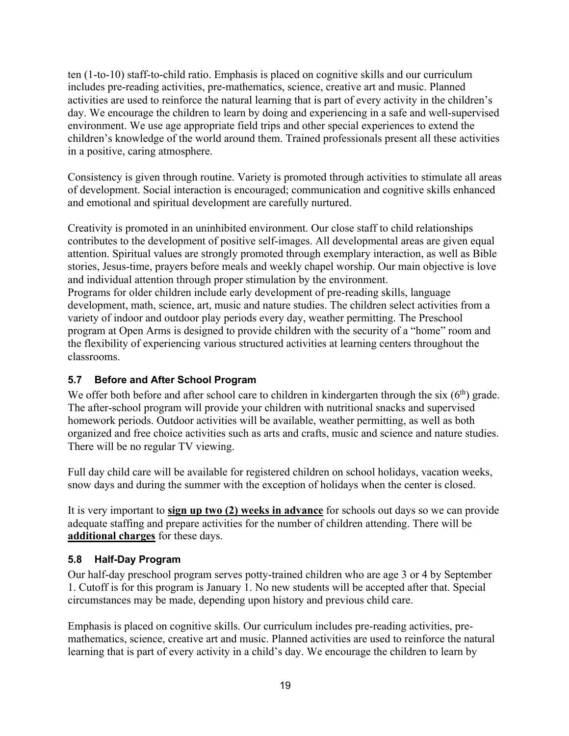ten (1-to-10) staff-to-child ratio. Emphasis is placed on cognitive skills and our curriculum includes pre-reading activities, pre-mathematics, science, creative art and music. Planned activities are used to reinforce the natural learning that is part of every activity in the children's day. We encourage the children to learn by doing and experiencing in a safe and well-supervised environment. We use age appropriate field trips and other special experiences to extend the children's knowledge of the world around them. Trained professionals present all these activities in a positive, caring atmosphere.

Consistency is given through routine. Variety is promoted through activities to stimulate all areas of development. Social interaction is encouraged; communication and cognitive skills enhanced and emotional and spiritual development are carefully nurtured.

Creativity is promoted in an uninhibited environment. Our close staff to child relationships contributes to the development of positive self-images. All developmental areas are given equal attention. Spiritual values are strongly promoted through exemplary interaction, as well as Bible stories, Jesus-time, prayers before meals and weekly chapel worship. Our main objective is love and individual attention through proper stimulation by the environment. Programs for older children include early development of pre-reading skills, language development, math, science, art, music and nature studies. The children select activities from a variety of indoor and outdoor play periods every day, weather permitting. The Preschool program at Open Arms is designed to provide children with the security of a "home" room and the flexibility of experiencing various structured activities at learning centers throughout the classrooms.

### **5.7 Before and After School Program**

We offer both before and after school care to children in kindergarten through the six  $(6<sup>th</sup>)$  grade. The after-school program will provide your children with nutritional snacks and supervised homework periods. Outdoor activities will be available, weather permitting, as well as both organized and free choice activities such as arts and crafts, music and science and nature studies. There will be no regular TV viewing.

Full day child care will be available for registered children on school holidays, vacation weeks, snow days and during the summer with the exception of holidays when the center is closed.

It is very important to **sign up two (2) weeks in advance** for schools out days so we can provide adequate staffing and prepare activities for the number of children attending. There will be **additional charges** for these days.

### **5.8 Half-Day Program**

Our half-day preschool program serves potty-trained children who are age 3 or 4 by September 1. Cutoff is for this program is January 1. No new students will be accepted after that. Special circumstances may be made, depending upon history and previous child care.

Emphasis is placed on cognitive skills. Our curriculum includes pre-reading activities, premathematics, science, creative art and music. Planned activities are used to reinforce the natural learning that is part of every activity in a child's day. We encourage the children to learn by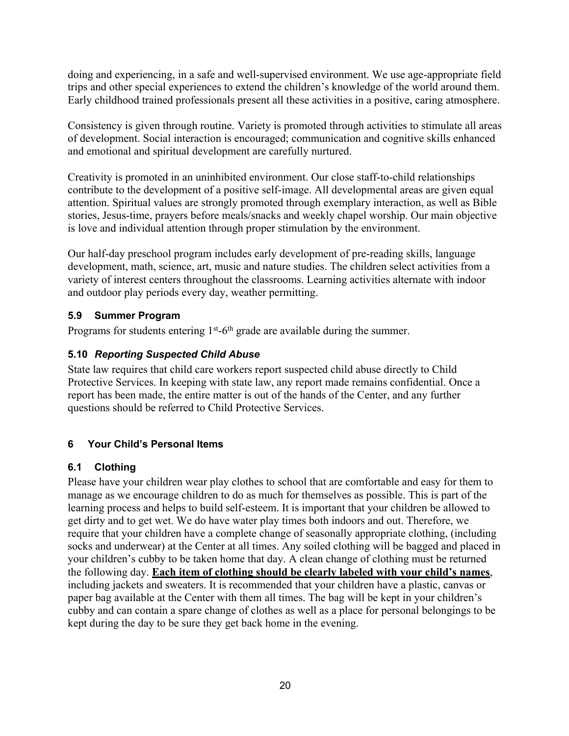doing and experiencing, in a safe and well-supervised environment. We use age-appropriate field trips and other special experiences to extend the children's knowledge of the world around them. Early childhood trained professionals present all these activities in a positive, caring atmosphere.

Consistency is given through routine. Variety is promoted through activities to stimulate all areas of development. Social interaction is encouraged; communication and cognitive skills enhanced and emotional and spiritual development are carefully nurtured.

Creativity is promoted in an uninhibited environment. Our close staff-to-child relationships contribute to the development of a positive self-image. All developmental areas are given equal attention. Spiritual values are strongly promoted through exemplary interaction, as well as Bible stories, Jesus-time, prayers before meals/snacks and weekly chapel worship. Our main objective is love and individual attention through proper stimulation by the environment.

Our half-day preschool program includes early development of pre-reading skills, language development, math, science, art, music and nature studies. The children select activities from a variety of interest centers throughout the classrooms. Learning activities alternate with indoor and outdoor play periods every day, weather permitting.

### **5.9 Summer Program**

Programs for students entering  $1<sup>st</sup>$ -6<sup>th</sup> grade are available during the summer.

### **5.10** *Reporting Suspected Child Abuse*

State law requires that child care workers report suspected child abuse directly to Child Protective Services. In keeping with state law, any report made remains confidential. Once a report has been made, the entire matter is out of the hands of the Center, and any further questions should be referred to Child Protective Services.

### **6 Your Child's Personal Items**

### **6.1 Clothing**

Please have your children wear play clothes to school that are comfortable and easy for them to manage as we encourage children to do as much for themselves as possible. This is part of the learning process and helps to build self-esteem. It is important that your children be allowed to get dirty and to get wet. We do have water play times both indoors and out. Therefore, we require that your children have a complete change of seasonally appropriate clothing, (including socks and underwear) at the Center at all times. Any soiled clothing will be bagged and placed in your children's cubby to be taken home that day. A clean change of clothing must be returned the following day. **Each item of clothing should be clearly labeled with your child's names**, including jackets and sweaters. It is recommended that your children have a plastic, canvas or paper bag available at the Center with them all times. The bag will be kept in your children's cubby and can contain a spare change of clothes as well as a place for personal belongings to be kept during the day to be sure they get back home in the evening.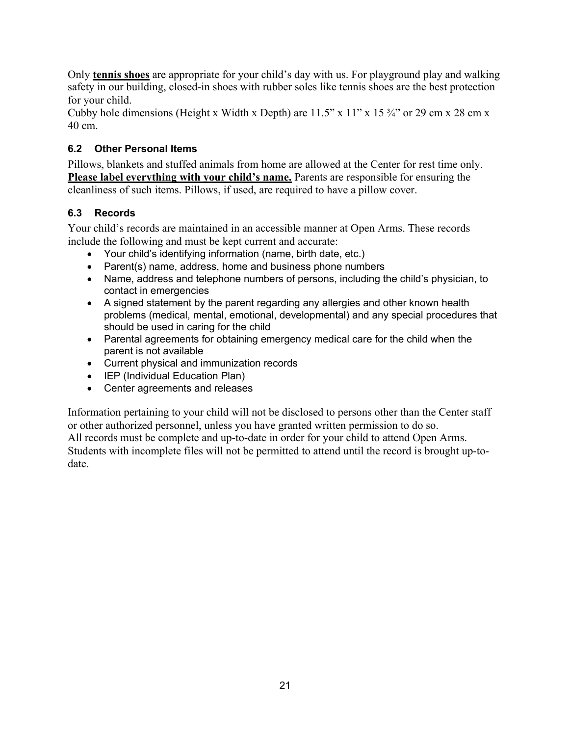Only **tennis shoes** are appropriate for your child's day with us. For playground play and walking safety in our building, closed-in shoes with rubber soles like tennis shoes are the best protection for your child.

Cubby hole dimensions (Height x Width x Depth) are  $11.5$ " x  $11$ " x  $15\frac{3}{4}$ " or 29 cm x 28 cm x 40 cm.

### **6.2 Other Personal Items**

Pillows, blankets and stuffed animals from home are allowed at the Center for rest time only. **Please label everything with your child's name.** Parents are responsible for ensuring the cleanliness of such items. Pillows, if used, are required to have a pillow cover.

### **6.3 Records**

Your child's records are maintained in an accessible manner at Open Arms. These records include the following and must be kept current and accurate:

- Your child's identifying information (name, birth date, etc.)
- Parent(s) name, address, home and business phone numbers
- Name, address and telephone numbers of persons, including the child's physician, to contact in emergencies
- A signed statement by the parent regarding any allergies and other known health problems (medical, mental, emotional, developmental) and any special procedures that should be used in caring for the child
- Parental agreements for obtaining emergency medical care for the child when the parent is not available
- Current physical and immunization records
- IEP (Individual Education Plan)
- Center agreements and releases

Information pertaining to your child will not be disclosed to persons other than the Center staff or other authorized personnel, unless you have granted written permission to do so. All records must be complete and up-to-date in order for your child to attend Open Arms. Students with incomplete files will not be permitted to attend until the record is brought up-todate.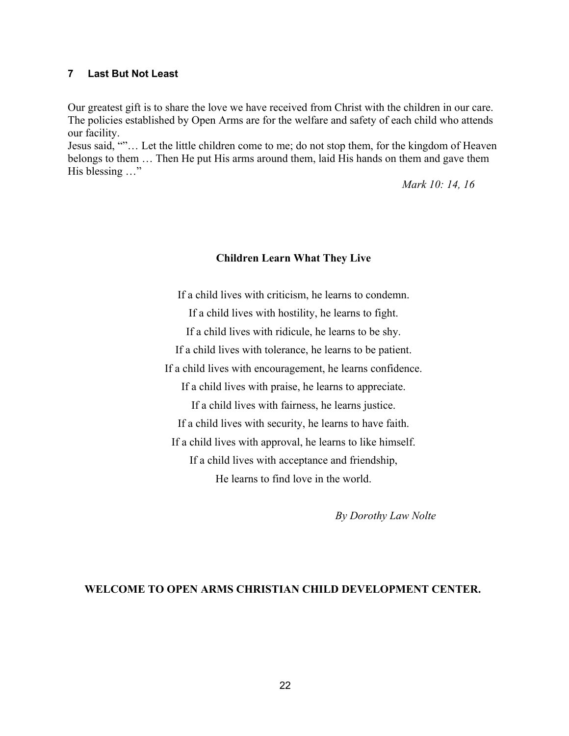#### **7 Last But Not Least**

Our greatest gift is to share the love we have received from Christ with the children in our care. The policies established by Open Arms are for the welfare and safety of each child who attends our facility.

Jesus said, ""… Let the little children come to me; do not stop them, for the kingdom of Heaven belongs to them … Then He put His arms around them, laid His hands on them and gave them His blessing ..."

*Mark 10: 14, 16*

#### **Children Learn What They Live**

If a child lives with criticism, he learns to condemn. If a child lives with hostility, he learns to fight. If a child lives with ridicule, he learns to be shy. If a child lives with tolerance, he learns to be patient. If a child lives with encouragement, he learns confidence. If a child lives with praise, he learns to appreciate. If a child lives with fairness, he learns justice. If a child lives with security, he learns to have faith. If a child lives with approval, he learns to like himself. If a child lives with acceptance and friendship, He learns to find love in the world.

*By Dorothy Law Nolte*

### **WELCOME TO OPEN ARMS CHRISTIAN CHILD DEVELOPMENT CENTER.**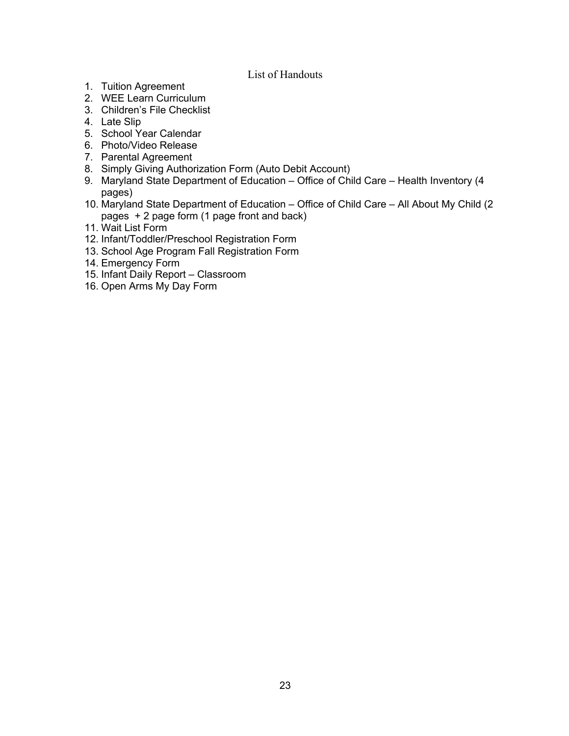#### List of Handouts

- 1. Tuition Agreement
- 2. WEE Learn Curriculum
- 3. Children's File Checklist
- 4. Late Slip
- 5. School Year Calendar
- 6. Photo/Video Release
- 7. Parental Agreement
- 8. Simply Giving Authorization Form (Auto Debit Account)
- 9. Maryland State Department of Education Office of Child Care Health Inventory (4 pages)
- 10. Maryland State Department of Education Office of Child Care All About My Child (2 pages + 2 page form (1 page front and back)
- 11. Wait List Form
- 12. Infant/Toddler/Preschool Registration Form
- 13. School Age Program Fall Registration Form
- 14. Emergency Form
- 15. Infant Daily Report Classroom
- 16. Open Arms My Day Form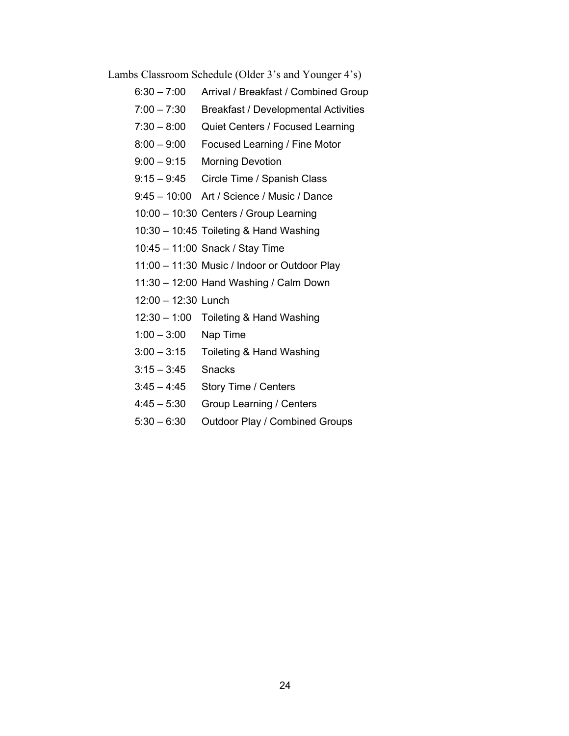Lambs Classroom Schedule (Older 3's and Younger 4's)

- 6:30 7:00 Arrival / Breakfast / Combined Group
- 7:00 7:30 Breakfast / Developmental Activities
- 7:30 8:00 Quiet Centers / Focused Learning
- 8:00 9:00 Focused Learning / Fine Motor
- 9:00 9:15 Morning Devotion
- 9:15 9:45 Circle Time / Spanish Class
- 9:45 10:00 Art / Science / Music / Dance
- 10:00 10:30 Centers / Group Learning
- 10:30 10:45 Toileting & Hand Washing
- 10:45 11:00 Snack / Stay Time
- 11:00 11:30 Music / Indoor or Outdoor Play
- 11:30 12:00 Hand Washing / Calm Down
- 12:00 12:30 Lunch
- 12:30 1:00 Toileting & Hand Washing
- 1:00 3:00 Nap Time
- 3:00 3:15 Toileting & Hand Washing
- 3:15 3:45 Snacks
- 3:45 4:45 Story Time / Centers
- 4:45 5:30 Group Learning / Centers
- 5:30 6:30 Outdoor Play / Combined Groups